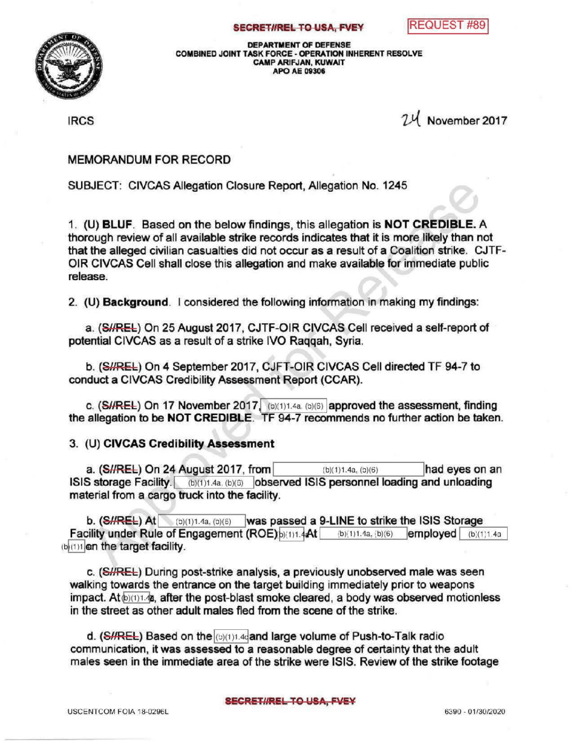



DEPARTMENT OF DEFENSE COMBINED JOINT TASK FORCE - OPERATION INHERENT RESOLVE CAMP ARIFJAN, KUWAIT APO AE 09306

IRCS 24 November <sup>2017</sup>

## MEMORANDUM FOR RECORD

SUBJECT: CIVCAS Allegation Closure Report, Allegation No. 1245

1. (U) BLUF. Based on the below findings, this allegation is NOT CREDIBLE. A thorough review of all available strike records indicates that it is more likely than not that the alleged civilian casualties did not occur as a result of a Coalition strike. CJTF-OIR CIVCAS Cell shall close this allegation and make available for immediate public release.

2. (U) Background. I considered the following information in making my findings:

a. (SHREL) On 25 August 2017, CJTF-OIR CIVCAS Cell received a self-report of potential CIVCAS as a result of a strike IVO Raggah, Syria.

b. (SHREL) On 4 September 2017, CJFT-OIR CIVCAS Cell directed TF 94-7 to conduct a CIVCAS Credibility Assessment Report (CCAR).

c. (SHREL) On 17 November 2017. (b)(1)1.4a, (b)(6) approved the assessment, finding the allegation to be NOT CREDIBLE. TF 94-7 recommends no further action be taken.

3. (U) CIVCAS Credibility Assessment

a.  $(SI/REE)$  On 24 August 2017, from (b)(1)1.4a, (b)(6) had eyes on an ISIS storage Facility. (b)(1)1.4a. (b)(6) observed ISIS personnel loading and unloading material from a cargo truck into the facility.

b. (S//REL) At (b)(1)1.4a, (b)(6) was passed a 9-LINE to strike the ISIS Storage<br>cility under Rule of Engagement (ROE) b)(1)1.4At (b)(1)1.4a, (b)(6) employed (b)(1)1.4a Facility under Rule of Engagement (ROE)  $b)(1)1.4$  at (b)(1) 1.4a, (b)(6) (b)(1)1 en the target facility.

c. (SHREL) During post-strike analysis, a previously unobserved male was seen walking towards the entrance on the target building immediately prior to weapons impact. At  $\phi$  (1)1.4  $\mu$ , after the post-blast smoke cleared, a body was observed motionless in the street as other adult males fled from the scene of the strike.

d. ( $\frac{S}{REL}$ ) Based on the  $|_{(b)(1)1.4c}$  and large volume of Push-to-Talk radio communication, it was assessed to a reasonable degree of certainty that the adult males seen in the immediate area of the strike were ISIS. Review of the strike footage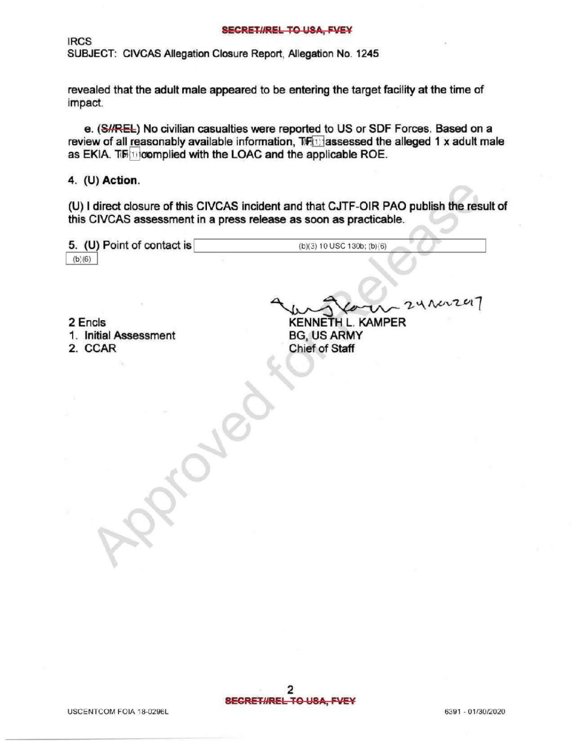## SECRETIREL TO USA, FVEY

**IRCS** 

SUBJECT: CIVCAS Allegation Closure Report, Allegation No. 1245

 $P^2$ 

revealed that the adult male appeared to be entering the target facility at the time of impact

e. (S//REL) No civilian casualties were reported to US or SDF Forces. Based on a review of all reasonably available information,  $TF$  $\Box$  assessed the alleged 1 x adult male as EKIA.  $T\mathbb{F}$  complied with the LOAC and the applicable ROE.

4. (U) Action.

(U) I direct closure of this CIVCAS incident and that CJTF-OIR PAO publish the result of this CIVCAS assessment in a press release as soon as practicable.

| 5. (U) Point of contact is | $(b)(3) 10$ USC 130b; $(b)(6)$ |
|----------------------------|--------------------------------|
| (b)(6)                     |                                |

2 Encls

1. Initial Assessment

2. CCAR

KENNETH L. KAMPER **BG, US ARMY** Chief of Staff